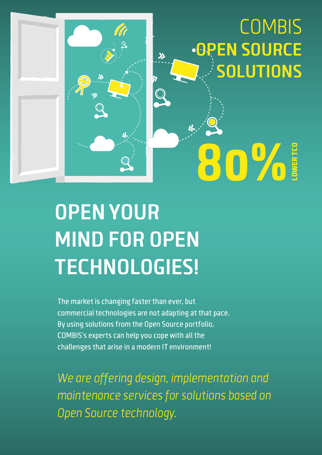# **COMBIS OPEN SOURCE SOLUTIONS**

**80%** 

LOWER TCO



 $\lambda$ 

The market is changing faster than ever, but commercial technologies are not adapting at that pace. By using solutions from the Open Source portfolio, COMBIS's experts can help you cope with all the challenges that arise in a modern IT environment!

We are offering design, implementation and maintenance services for solutions based on Open Source technology.